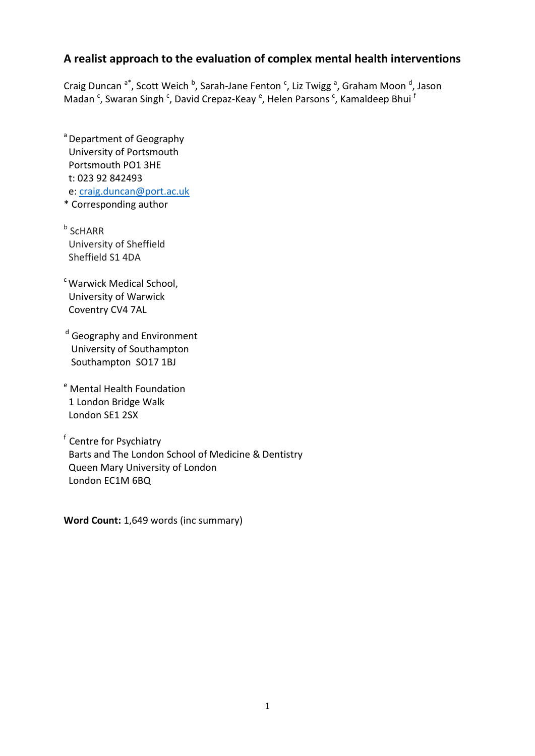# **A realist approach to the evaluation of complex mental health interventions**

Craig Duncan <sup>a\*</sup>, Scott Weich <sup>b</sup>, Sarah-Jane Fenton <sup>c</sup>, Liz Twigg <sup>a</sup>, Graham Moon <sup>d</sup>, Jason Madan <sup>c</sup>, Swaran Singh <sup>c</sup>, David Crepaz-Keay <sup>e</sup>, Helen Parsons <sup>c</sup>, Kamaldeep Bhui <sup>f</sup>

<sup>a</sup> Department of Geography University of Portsmouth Portsmouth PO1 3HE t: 023 92 842493 e: [craig.duncan@port.ac.uk](mailto:craig.duncan@port.ac.uk) \* Corresponding author

**b** ScHARR University of Sheffield Sheffield S1 4DA

<sup>c</sup> Warwick Medical School. University of Warwick Coventry CV4 7AL

<sup>d</sup> Geography and Environment University of Southampton Southampton SO17 1BJ

<sup>e</sup> Mental Health Foundation 1 London Bridge Walk London SE1 2SX

f Centre for Psychiatry Barts and The London School of Medicine & Dentistry Queen Mary University of London London EC1M 6BQ

**Word Count:** 1,649 words (inc summary)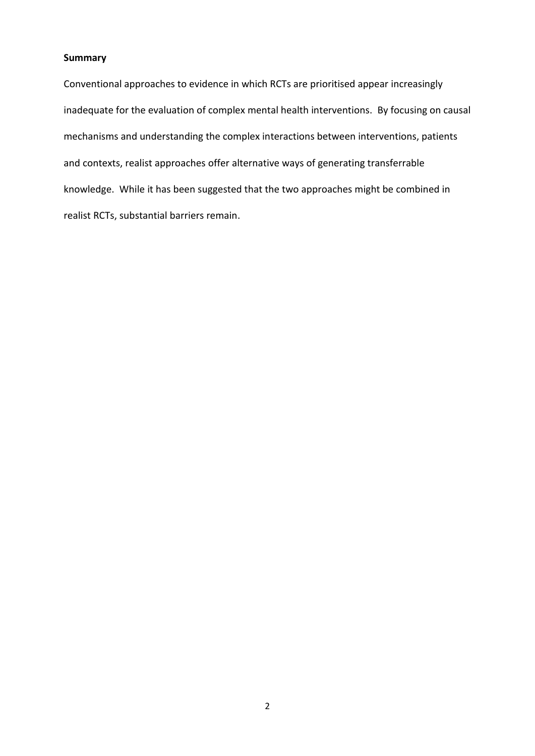#### **Summary**

Conventional approaches to evidence in which RCTs are prioritised appear increasingly inadequate for the evaluation of complex mental health interventions. By focusing on causal mechanisms and understanding the complex interactions between interventions, patients and contexts, realist approaches offer alternative ways of generating transferrable knowledge. While it has been suggested that the two approaches might be combined in realist RCTs, substantial barriers remain.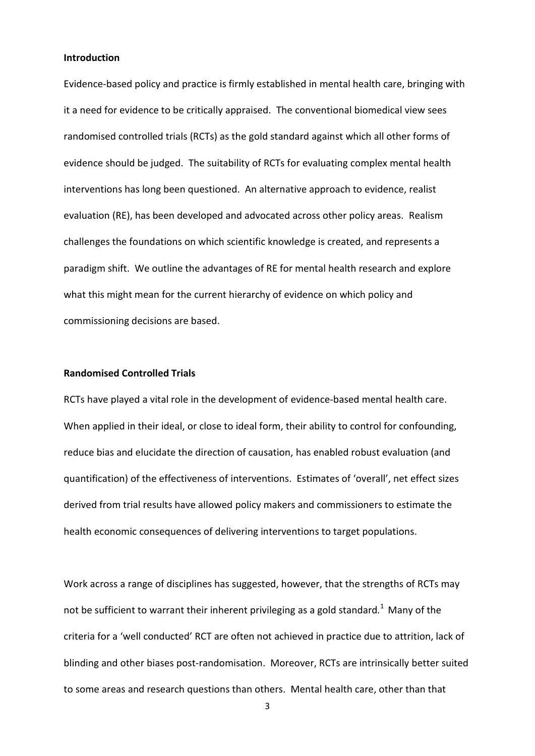#### **Introduction**

Evidence-based policy and practice is firmly established in mental health care, bringing with it a need for evidence to be critically appraised. The conventional biomedical view sees randomised controlled trials (RCTs) as the gold standard against which all other forms of evidence should be judged. The suitability of RCTs for evaluating complex mental health interventions has long been questioned. An alternative approach to evidence, realist evaluation (RE), has been developed and advocated across other policy areas. Realism challenges the foundations on which scientific knowledge is created, and represents a paradigm shift. We outline the advantages of RE for mental health research and explore what this might mean for the current hierarchy of evidence on which policy and commissioning decisions are based.

#### **Randomised Controlled Trials**

RCTs have played a vital role in the development of evidence-based mental health care. When applied in their ideal, or close to ideal form, their ability to control for confounding, reduce bias and elucidate the direction of causation, has enabled robust evaluation (and quantification) of the effectiveness of interventions. Estimates of 'overall', net effect sizes derived from trial results have allowed policy makers and commissioners to estimate the health economic consequences of delivering interventions to target populations.

Work across a range of disciplines has suggested, however, that the strengths of RCTs may not be sufficient to warrant their inherent privileging as a gold standard.<sup>1</sup> Many of the criteria for a 'well conducted' RCT are often not achieved in practice due to attrition, lack of blinding and other biases post-randomisation. Moreover, RCTs are intrinsically better suited to some areas and research questions than others. Mental health care, other than that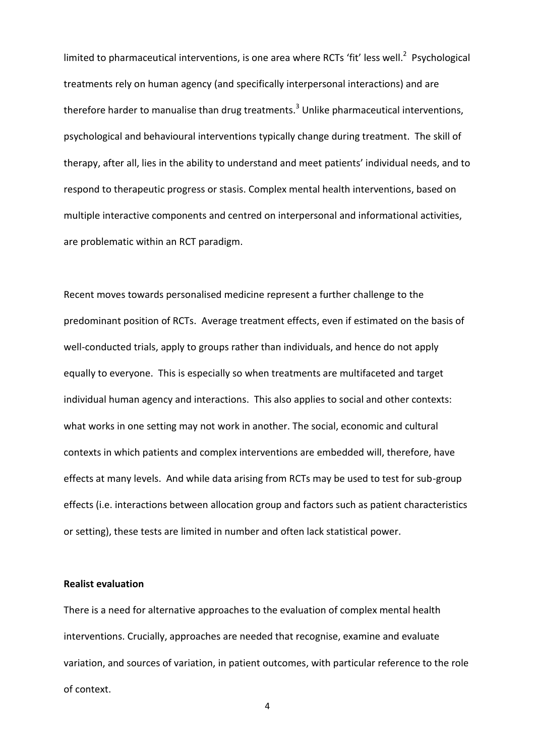limited to pharmaceutical interventions, is one area where RCTs 'fit' less well.<sup>2</sup> Psychological treatments rely on human agency (and specifically interpersonal interactions) and are therefore harder to manualise than drug treatments.<sup>3</sup> Unlike pharmaceutical interventions, psychological and behavioural interventions typically change during treatment. The skill of therapy, after all, lies in the ability to understand and meet patients' individual needs, and to respond to therapeutic progress or stasis. Complex mental health interventions, based on multiple interactive components and centred on interpersonal and informational activities, are problematic within an RCT paradigm.

Recent moves towards personalised medicine represent a further challenge to the predominant position of RCTs. Average treatment effects, even if estimated on the basis of well-conducted trials, apply to groups rather than individuals, and hence do not apply equally to everyone. This is especially so when treatments are multifaceted and target individual human agency and interactions. This also applies to social and other contexts: what works in one setting may not work in another. The social, economic and cultural contexts in which patients and complex interventions are embedded will, therefore, have effects at many levels. And while data arising from RCTs may be used to test for sub-group effects (i.e. interactions between allocation group and factors such as patient characteristics or setting), these tests are limited in number and often lack statistical power.

### **Realist evaluation**

There is a need for alternative approaches to the evaluation of complex mental health interventions. Crucially, approaches are needed that recognise, examine and evaluate variation, and sources of variation, in patient outcomes, with particular reference to the role of context.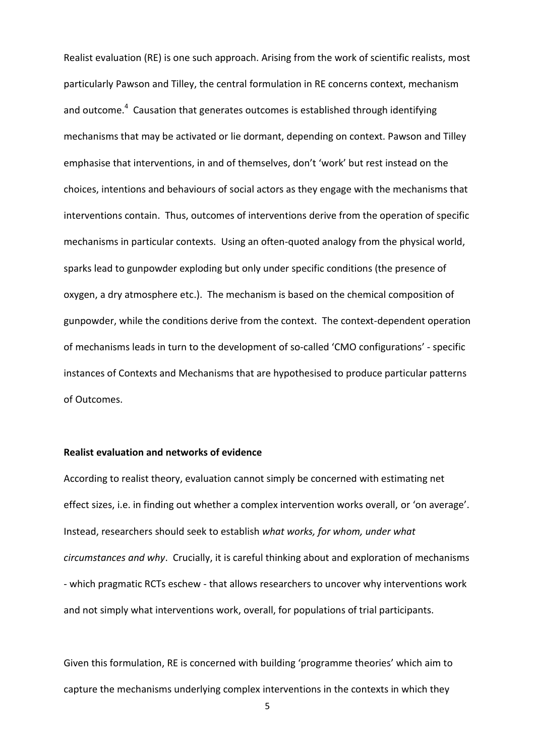Realist evaluation (RE) is one such approach. Arising from the work of scientific realists, most particularly Pawson and Tilley, the central formulation in RE concerns context, mechanism and outcome.<sup>4</sup> Causation that generates outcomes is established through identifying mechanisms that may be activated or lie dormant, depending on context. Pawson and Tilley emphasise that interventions, in and of themselves, don't 'work' but rest instead on the choices, intentions and behaviours of social actors as they engage with the mechanisms that interventions contain. Thus, outcomes of interventions derive from the operation of specific mechanisms in particular contexts. Using an often-quoted analogy from the physical world, sparks lead to gunpowder exploding but only under specific conditions (the presence of oxygen, a dry atmosphere etc.). The mechanism is based on the chemical composition of gunpowder, while the conditions derive from the context. The context-dependent operation of mechanisms leads in turn to the development of so-called 'CMO configurations' - specific instances of Contexts and Mechanisms that are hypothesised to produce particular patterns of Outcomes.

#### **Realist evaluation and networks of evidence**

According to realist theory, evaluation cannot simply be concerned with estimating net effect sizes, i.e. in finding out whether a complex intervention works overall, or 'on average'. Instead, researchers should seek to establish *what works, for whom, under what circumstances and why*. Crucially, it is careful thinking about and exploration of mechanisms - which pragmatic RCTs eschew - that allows researchers to uncover why interventions work and not simply what interventions work, overall, for populations of trial participants.

Given this formulation, RE is concerned with building 'programme theories' which aim to capture the mechanisms underlying complex interventions in the contexts in which they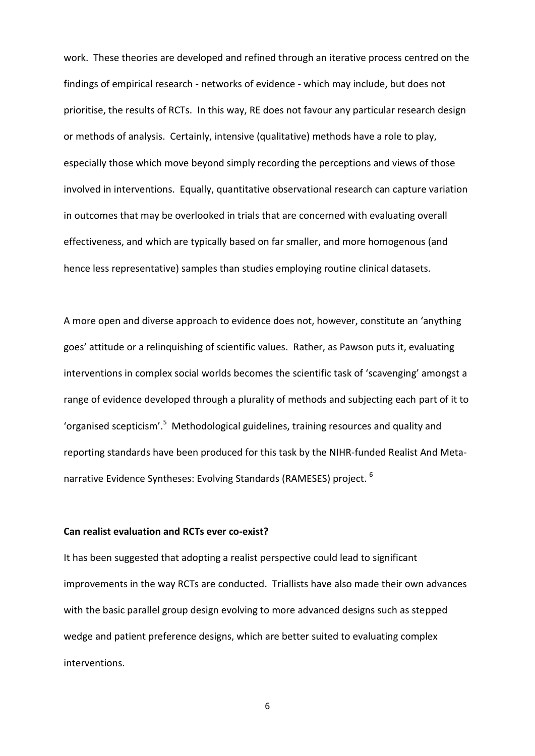work. These theories are developed and refined through an iterative process centred on the findings of empirical research - networks of evidence - which may include, but does not prioritise, the results of RCTs. In this way, RE does not favour any particular research design or methods of analysis. Certainly, intensive (qualitative) methods have a role to play, especially those which move beyond simply recording the perceptions and views of those involved in interventions. Equally, quantitative observational research can capture variation in outcomes that may be overlooked in trials that are concerned with evaluating overall effectiveness, and which are typically based on far smaller, and more homogenous (and hence less representative) samples than studies employing routine clinical datasets.

A more open and diverse approach to evidence does not, however, constitute an 'anything goes' attitude or a relinquishing of scientific values. Rather, as Pawson puts it, evaluating interventions in complex social worlds becomes the scientific task of 'scavenging' amongst a range of evidence developed through a plurality of methods and subjecting each part of it to 'organised scepticism'.<sup>5</sup> Methodological guidelines, training resources and quality and reporting standards have been produced for this task by the NIHR-funded Realist And Metanarrative Evidence Syntheses: Evolving Standards (RAMESES) project. <sup>6</sup>

#### **Can realist evaluation and RCTs ever co-exist?**

It has been suggested that adopting a realist perspective could lead to significant improvements in the way RCTs are conducted. Triallists have also made their own advances with the basic parallel group design evolving to more advanced designs such as stepped wedge and patient preference designs, which are better suited to evaluating complex interventions.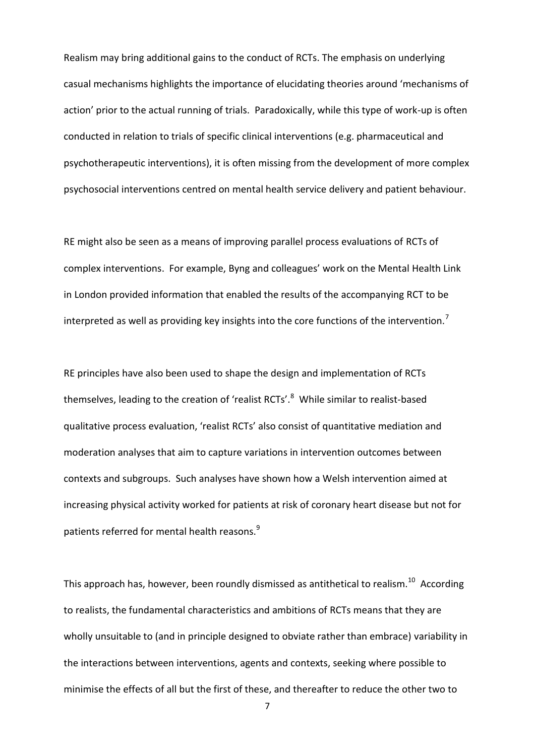Realism may bring additional gains to the conduct of RCTs. The emphasis on underlying casual mechanisms highlights the importance of elucidating theories around 'mechanisms of action' prior to the actual running of trials. Paradoxically, while this type of work-up is often conducted in relation to trials of specific clinical interventions (e.g. pharmaceutical and psychotherapeutic interventions), it is often missing from the development of more complex psychosocial interventions centred on mental health service delivery and patient behaviour.

RE might also be seen as a means of improving parallel process evaluations of RCTs of complex interventions. For example, Byng and colleagues' work on the Mental Health Link in London provided information that enabled the results of the accompanying RCT to be interpreted as well as providing key insights into the core functions of the intervention.<sup>7</sup>

RE principles have also been used to shape the design and implementation of RCTs themselves, leading to the creation of 'realist RCTs'.<sup>8</sup> While similar to realist-based qualitative process evaluation, 'realist RCTs' also consist of quantitative mediation and moderation analyses that aim to capture variations in intervention outcomes between contexts and subgroups. Such analyses have shown how a Welsh intervention aimed at increasing physical activity worked for patients at risk of coronary heart disease but not for patients referred for mental health reasons.<sup>9</sup>

This approach has, however, been roundly dismissed as antithetical to realism.<sup>10</sup> According to realists, the fundamental characteristics and ambitions of RCTs means that they are wholly unsuitable to (and in principle designed to obviate rather than embrace) variability in the interactions between interventions, agents and contexts, seeking where possible to minimise the effects of all but the first of these, and thereafter to reduce the other two to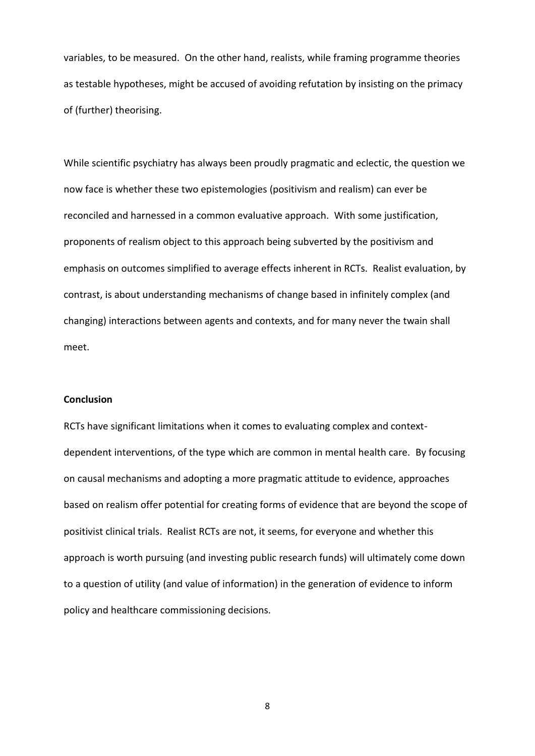variables, to be measured. On the other hand, realists, while framing programme theories as testable hypotheses, might be accused of avoiding refutation by insisting on the primacy of (further) theorising.

While scientific psychiatry has always been proudly pragmatic and eclectic, the question we now face is whether these two epistemologies (positivism and realism) can ever be reconciled and harnessed in a common evaluative approach. With some justification, proponents of realism object to this approach being subverted by the positivism and emphasis on outcomes simplified to average effects inherent in RCTs. Realist evaluation, by contrast, is about understanding mechanisms of change based in infinitely complex (and changing) interactions between agents and contexts, and for many never the twain shall meet.

### **Conclusion**

RCTs have significant limitations when it comes to evaluating complex and contextdependent interventions, of the type which are common in mental health care. By focusing on causal mechanisms and adopting a more pragmatic attitude to evidence, approaches based on realism offer potential for creating forms of evidence that are beyond the scope of positivist clinical trials. Realist RCTs are not, it seems, for everyone and whether this approach is worth pursuing (and investing public research funds) will ultimately come down to a question of utility (and value of information) in the generation of evidence to inform policy and healthcare commissioning decisions.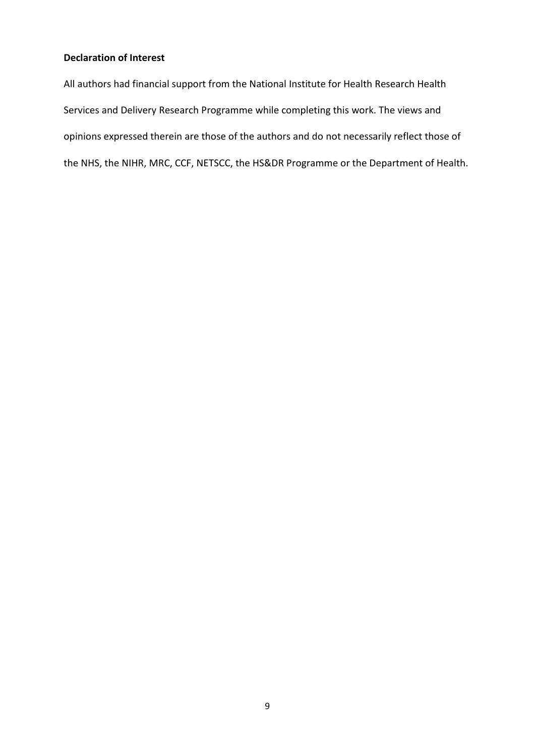# **Declaration of Interest**

All authors had financial support from the National Institute for Health Research Health Services and Delivery Research Programme while completing this work. The views and opinions expressed therein are those of the authors and do not necessarily reflect those of the NHS, the NIHR, MRC, CCF, NETSCC, the HS&DR Programme or the Department of Health.